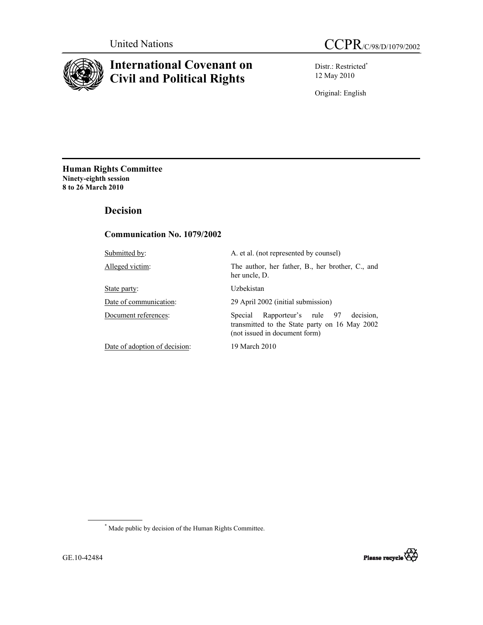

# **International Covenant on Civil and Political Rights**

Distr.: Restricted\* 12 May 2010

Original: English

**Human Rights Committee Ninety-eighth session 8 to 26 March 2010** 

 **Decision** 

# **Communication No. 1079/2002**

| Submitted by:                 | A. et al. (not represented by counsel)                                                                                      |
|-------------------------------|-----------------------------------------------------------------------------------------------------------------------------|
| Alleged victim:               | The author, her father, B., her brother, C., and<br>her uncle, D.                                                           |
| State party:                  | Uzbekistan                                                                                                                  |
| Date of communication:        | 29 April 2002 (initial submission)                                                                                          |
| Document references:          | Rapporteur's rule 97 decision,<br>Special<br>transmitted to the State party on 16 May 2002<br>(not issued in document form) |
| Date of adoption of decision: | 19 March 2010                                                                                                               |

\* Made public by decision of the Human Rights Committee.

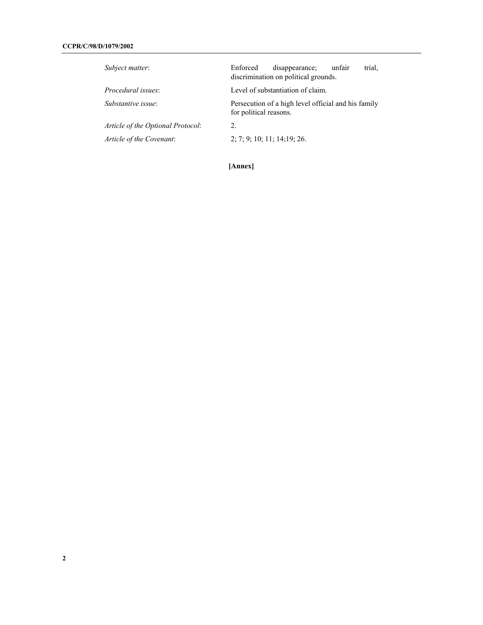| Subject matter:                   | trial.<br>disappearance:<br>Enforced<br>unfair<br>discrimination on political grounds. |
|-----------------------------------|----------------------------------------------------------------------------------------|
| <i>Procedural issues:</i>         | Level of substantiation of claim.                                                      |
| Substantive issue:                | Persecution of a high level official and his family<br>for political reasons.          |
| Article of the Optional Protocol: | 2.                                                                                     |
| Article of the Covenant:          | 2; 7; 9; 10; 11; 14; 19; 26.                                                           |

**[Annex]**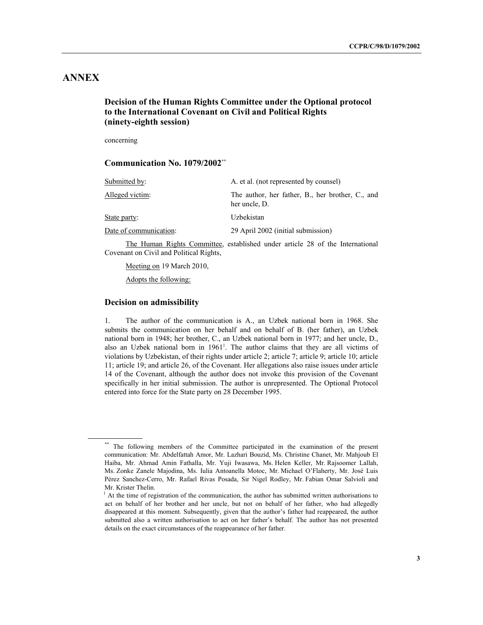# **ANNEX**

# **Decision of the Human Rights Committee under the Optional protocol to the International Covenant on Civil and Political Rights (ninety-eighth session)**

concerning

# **Communication No. 1079/2002\*\***

| Submitted by:                           | A. et al. (not represented by counsel)                                        |
|-----------------------------------------|-------------------------------------------------------------------------------|
| Alleged victim:                         | The author, her father, B., her brother, C., and<br>her uncle, D.             |
| State party:                            | Uzbekistan                                                                    |
| Date of communication:                  | 29 April 2002 (initial submission)                                            |
| Covenant on Civil and Political Rights. | The Human Rights Committee, established under article 28 of the International |

Meeting on 19 March 2010,

Adopts the following:

### **Decision on admissibility**

1. The author of the communication is A., an Uzbek national born in 1968. She submits the communication on her behalf and on behalf of B. (her father), an Uzbek national born in 1948; her brother, C., an Uzbek national born in 1977; and her uncle, D., also an Uzbek national born in  $1961<sup>1</sup>$ . The author claims that they are all victims of violations by Uzbekistan, of their rights under article 2; article 7; article 9; article 10; article 11; article 19; and article 26, of the Covenant. Her allegations also raise issues under article 14 of the Covenant, although the author does not invoke this provision of the Covenant specifically in her initial submission. The author is unrepresented. The Optional Protocol entered into force for the State party on 28 December 1995.

<sup>\*\*</sup> The following members of the Committee participated in the examination of the present communication: Mr. Abdelfattah Amor, Mr. Lazhari Bouzid, Ms. Christine Chanet, Mr. Mahjoub El Haiba, Mr. Ahmad Amin Fathalla, Mr. Yuji Iwasawa, Ms. Helen Keller, Mr. Rajsoomer Lallah, Ms. Zonke Zanele Majodina, Ms. Iulia Antoanella Motoc, Mr. Michael O'Flaherty, Mr. José Luis Pérez Sanchez-Cerro, Mr. Rafael Rivas Posada, Sir Nigel Rodley, Mr. Fabian Omar Salvioli and Mr. Krister Thelin.

<sup>&</sup>lt;sup>1</sup> At the time of registration of the communication, the author has submitted written authorisations to act on behalf of her brother and her uncle, but not on behalf of her father, who had allegedly disappeared at this moment. Subsequently, given that the author's father had reappeared, the author submitted also a written authorisation to act on her father's behalf. The author has not presented details on the exact circumstances of the reappearance of her father.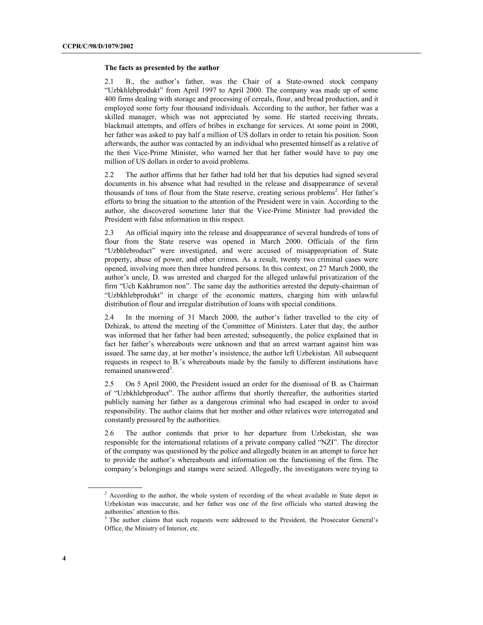#### **The facts as presented by the author**

2.1 B., the author's father, was the Chair of a State-owned stock company "Uzbkhlebprodukt" from April 1997 to April 2000. The company was made up of some 400 firms dealing with storage and processing of cereals, flour, and bread production, and it employed some forty four thousand individuals. According to the author, her father was a skilled manager, which was not appreciated by some. He started receiving threats, blackmail attempts, and offers of bribes in exchange for services. At some point in 2000, her father was asked to pay half a million of US dollars in order to retain his position. Soon afterwards, the author was contacted by an individual who presented himself as a relative of the then Vice-Prime Minister, who warned her that her father would have to pay one million of US dollars in order to avoid problems.

2.2 The author affirms that her father had told her that his deputies had signed several documents in his absence what had resulted in the release and disappearance of several thousands of tons of flour from the State reserve, creating serious problems<sup>2</sup>. Her father's efforts to bring the situation to the attention of the President were in vain. According to the author, she discovered sometime later that the Vice-Prime Minister had provided the President with false information in this respect.

2.3 An official inquiry into the release and disappearance of several hundreds of tons of flour from the State reserve was opened in March 2000. Officials of the firm "Uzbhlebroduct" were investigated, and were accused of misappropriation of State property, abuse of power, and other crimes. As a result, twenty two criminal cases were opened, involving more then three hundred persons. In this context, on 27 March 2000, the author's uncle, D. was arrested and charged for the alleged unlawful privatization of the firm "Uch Kakhramon non". The same day the authorities arrested the deputy-chairman of "Uzbkhlebprodukt" in charge of the economic matters, charging him with unlawful distribution of flour and irregular distribution of loans with special conditions.

2.4 In the morning of 31 March 2000, the author's father travelled to the city of Dzhizak, to attend the meeting of the Committee of Ministers. Later that day, the author was informed that her father had been arrested; subsequently, the police explained that in fact her father's whereabouts were unknown and that an arrest warrant against him was issued. The same day, at her mother's insistence, the author left Uzbekistan. All subsequent requests in respect to B.'s whereabouts made by the family to different institutions have remained unanswered<sup>3</sup>.

2.5 On 5 April 2000, the President issued an order for the dismissal of B. as Chairman of "Uzbkhlebproduct". The author affirms that shortly thereafter, the authorities started publicly naming her father as a dangerous criminal who had escaped in order to avoid responsibility. The author claims that her mother and other relatives were interrogated and constantly pressured by the authorities.

2.6 The author contends that prior to her departure from Uzbekistan, she was responsible for the international relations of a private company called "NZI". The director of the company was questioned by the police and allegedly beaten in an attempt to force her to provide the author's whereabouts and information on the functioning of the firm. The company's belongings and stamps were seized. Allegedly, the investigators were trying to

 $2$  According to the author, the whole system of recording of the wheat available in State depot in Uzbekistan was inaccurate, and her father was one of the first officials who started drawing the authorities' attention to this.

<sup>&</sup>lt;sup>3</sup> The author claims that such requests were addressed to the President, the Prosecutor General's Office, the Ministry of Interior, etc.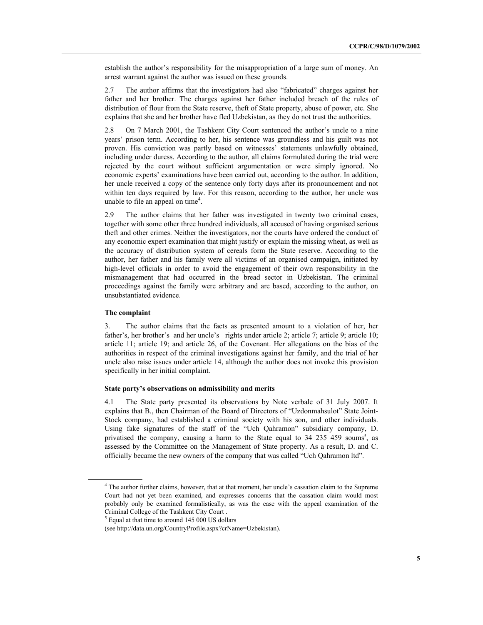establish the author's responsibility for the misappropriation of a large sum of money. An arrest warrant against the author was issued on these grounds.

2.7 The author affirms that the investigators had also "fabricated" charges against her father and her brother. The charges against her father included breach of the rules of distribution of flour from the State reserve, theft of State property, abuse of power, etc. She explains that she and her brother have fled Uzbekistan, as they do not trust the authorities.

2.8 On 7 March 2001, the Tashkent City Court sentenced the author's uncle to a nine years' prison term. According to her, his sentence was groundless and his guilt was not proven. His conviction was partly based on witnesses' statements unlawfully obtained, including under duress. According to the author, all claims formulated during the trial were rejected by the court without sufficient argumentation or were simply ignored. No economic experts' examinations have been carried out, according to the author. In addition, her uncle received a copy of the sentence only forty days after its pronouncement and not within ten days required by law. For this reason, according to the author, her uncle was unable to file an appeal on time<sup>4</sup>.

2.9 The author claims that her father was investigated in twenty two criminal cases, together with some other three hundred individuals, all accused of having organised serious theft and other crimes. Neither the investigators, nor the courts have ordered the conduct of any economic expert examination that might justify or explain the missing wheat, as well as the accuracy of distribution system of cereals form the State reserve. According to the author, her father and his family were all victims of an organised campaign, initiated by high-level officials in order to avoid the engagement of their own responsibility in the mismanagement that had occurred in the bread sector in Uzbekistan. The criminal proceedings against the family were arbitrary and are based, according to the author, on unsubstantiated evidence.

# **The complaint**

3. The author claims that the facts as presented amount to a violation of her, her father's, her brother's and her uncle's rights under article 2; article 7; article 9; article 10; article 11; article 19; and article 26, of the Covenant. Her allegations on the bias of the authorities in respect of the criminal investigations against her family, and the trial of her uncle also raise issues under article 14, although the author does not invoke this provision specifically in her initial complaint.

#### **State party's observations on admissibility and merits**

4.1 The State party presented its observations by Note verbale of 31 July 2007. It explains that B., then Chairman of the Board of Directors of "Uzdonmahsulot" State Joint-Stock company, had established a criminal society with his son, and other individuals. Using fake signatures of the staff of the "Uch Qahramon" subsidiary company, D. privatised the company, causing a harm to the State equal to  $34\,235\,459\,$  soums<sup>5</sup>, as assessed by the Committee on the Management of State property. As a result, D. and C. officially became the new owners of the company that was called "Uch Qahramon ltd".

<sup>&</sup>lt;sup>4</sup> The author further claims, however, that at that moment, her uncle's cassation claim to the Supreme Court had not yet been examined, and expresses concerns that the cassation claim would most probably only be examined formalistically, as was the case with the appeal examination of the Criminal College of the Tashkent City Court .

<sup>5</sup>  $<sup>5</sup>$  Equal at that time to around 145 000 US dollars</sup>

 <sup>(</sup>see http://data.un.org/CountryProfile.aspx?crName=Uzbekistan).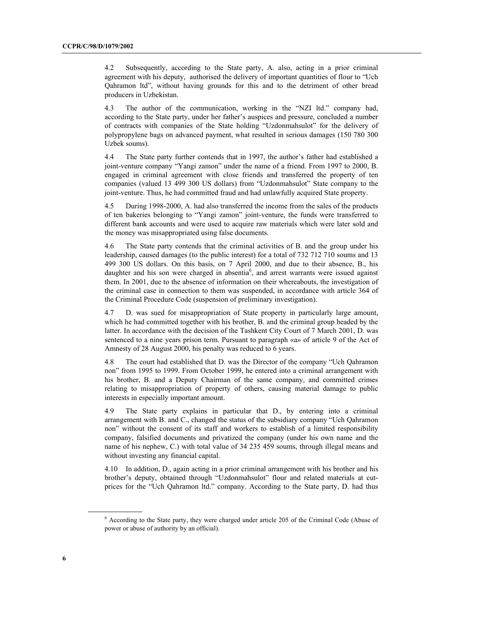4.2 Subsequently, according to the State party, A. also, acting in a prior criminal agreement with his deputy, authorised the delivery of important quantities of flour to "Uch Qahramon ltd", without having grounds for this and to the detriment of other bread producers in Uzbekistan.

4.3 The author of the communication, working in the "NZI ltd." company had, according to the State party, under her father's auspices and pressure, concluded a number of contracts with companies of the State holding "Uzdonmahsulot" for the delivery of polypropylene bags on advanced payment, what resulted in serious damages (150 780 300 Uzbek soums).

4.4 The State party further contends that in 1997, the author's father had established a joint-venture company "Yangi zamon" under the name of a friend. From 1997 to 2000, B. engaged in criminal agreement with close friends and transferred the property of ten companies (valued 13 499 300 US dollars) from "Uzdonmahsulot" State company to the joint-venture. Thus, he had committed fraud and had unlawfully acquired State property.

4.5 During 1998-2000, A. had also transferred the income from the sales of the products of ten bakeries belonging to "Yangi zamon" joint-venture, the funds were transferred to different bank accounts and were used to acquire raw materials which were later sold and the money was misappropriated using false documents.

4.6 The State party contends that the criminal activities of B. and the group under his leadership, caused damages (to the public interest) for a total of 732 712 710 soums and 13 499 300 US dollars. On this basis, on 7 April 2000, and due to their absence, B., his daughter and his son were charged in absentia<sup>6</sup>, and arrest warrants were issued against them. In 2001, due to the absence of information on their whereabouts, the investigation of the criminal case in connection to them was suspended, in accordance with article 364 of the Criminal Procedure Code (suspension of preliminary investigation).

4.7 D. was sued for misappropriation of State property in particularly large amount, which he had committed together with his brother, B. and the criminal group headed by the latter. In accordance with the decision of the Tashkent City Court of 7 March 2001, D. was sentenced to a nine years prison term. Pursuant to paragraph «а» of article 9 of the Act of Amnesty of 28 August 2000, his penalty was reduced to 6 years.

4.8 The court had established that D. was the Director of the company "Uch Qahramon non" from 1995 to 1999. From October 1999, he entered into a criminal arrangement with his brother, B. and a Deputy Chairman of the same company, and committed crimes relating to misappropriation of property of others, causing material damage to public interests in especially important amount.

4.9 The State party explains in particular that D., by entering into a criminal arrangement with B. and C., changed the status of the subsidiary company "Uch Qahramon non" without the consent of its staff and workers to establish of a limited responsibility company, falsified documents and privatized the company (under his own name and the name of his nephew, C.) with total value of 34 235 459 soums, through illegal means and without investing any financial capital.

4.10 In addition, D., again acting in a prior criminal arrangement with his brother and his brother's deputy, obtained through "Uzdonmahsulot" flour and related materials at cutprices for the "Uch Qahramon ltd." company. According to the State party, D. had thus

<sup>&</sup>lt;sup>6</sup> According to the State party, they were charged under article 205 of the Criminal Code (Abuse of power or abuse of authority by an official).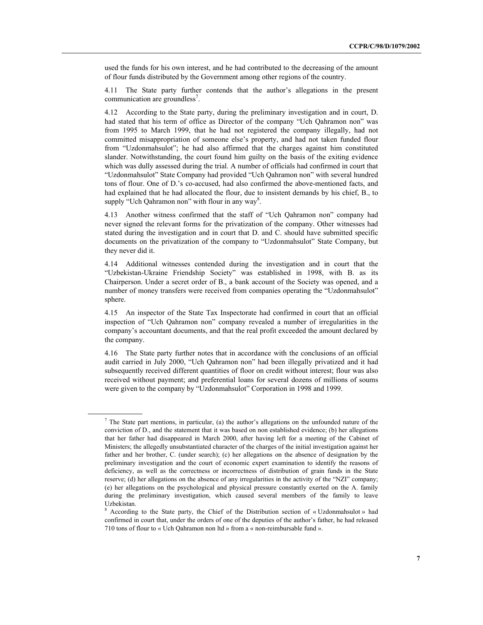used the funds for his own interest, and he had contributed to the decreasing of the amount of flour funds distributed by the Government among other regions of the country.

4.11 The State party further contends that the author's allegations in the present communication are groundless<sup>7</sup>.

4.12 According to the State party, during the preliminary investigation and in court, D. had stated that his term of office as Director of the company "Uch Qahramon non" was from 1995 to March 1999, that he had not registered the company illegally, had not committed misappropriation of someone else's property, and had not taken funded flour from "Uzdonmahsulot"; he had also affirmed that the charges against him constituted slander. Notwithstanding, the court found him guilty on the basis of the exiting evidence which was dully assessed during the trial. A number of officials had confirmed in court that "Uzdonmahsulot" State Company had provided "Uch Qahramon non" with several hundred tons of flour. One of D.'s co-accused, had also confirmed the above-mentioned facts, and had explained that he had allocated the flour, due to insistent demands by his chief, B., to supply "Uch Qahramon non" with flour in any way<sup>8</sup>.

4.13 Another witness confirmed that the staff of "Uch Qahramon non" company had never signed the relevant forms for the privatization of the company. Other witnesses had stated during the investigation and in court that D. and C. should have submitted specific documents on the privatization of the company to "Uzdonmahsulot" State Company, but they never did it.

4.14 Additional witnesses contended during the investigation and in court that the "Uzbekistan-Ukraine Friendship Society" was established in 1998, with B. as its Chairperson. Under a secret order of B., a bank account of the Society was opened, and a number of money transfers were received from companies operating the "Uzdonmahsulot" sphere.

4.15 An inspector of the State Tax Inspectorate had confirmed in court that an official inspection of "Uch Qahramon non" company revealed a number of irregularities in the company's accountant documents, and that the real profit exceeded the amount declared by the company.

4.16 The State party further notes that in accordance with the conclusions of an official audit carried in July 2000, "Uch Qahramon non" had been illegally privatized and it had subsequently received different quantities of floor on credit without interest; flour was also received without payment; and preferential loans for several dozens of millions of soums were given to the company by "Uzdonmahsulot" Corporation in 1998 and 1999.

 $<sup>7</sup>$  The State part mentions, in particular, (a) the author's allegations on the unfounded nature of the</sup> conviction of D., and the statement that it was based on non established evidence; (b) her allegations that her father had disappeared in March 2000, after having left for a meeting of the Cabinet of Ministers; the allegedly unsubstantiated character of the charges of the initial investigation against her father and her brother, C. (under search); (c) her allegations on the absence of designation by the preliminary investigation and the court of economic expert examination to identify the reasons of deficiency, as well as the correctness or incorrectness of distribution of grain funds in the State reserve; (d) her allegations on the absence of any irregularities in the activity of the "NZI" company; (e) her allegations on the psychological and physical pressure constantly exerted on the A. family during the preliminary investigation, which caused several members of the family to leave Uzbekistan.

<sup>&</sup>lt;sup>8</sup> According to the State party, the Chief of the Distribution section of « Uzdonmahsulot » had confirmed in court that, under the orders of one of the deputies of the author's father, he had released 710 tons of flour to « Uch Qahramon non ltd » from a « non-reimbursable fund ».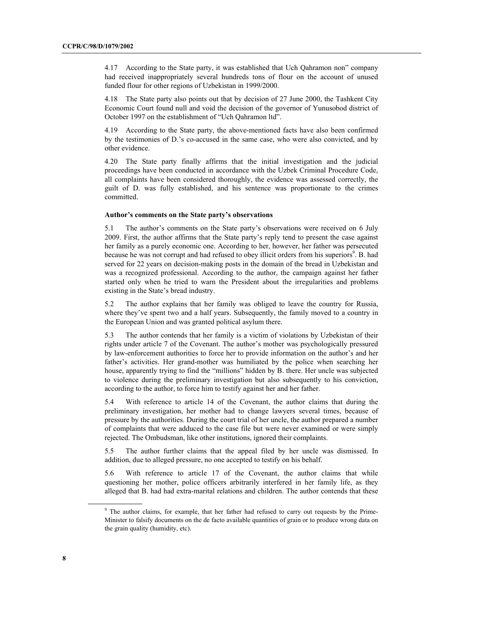4.17 According to the State party, it was established that Uch Qahramon non" company had received inappropriately several hundreds tons of flour on the account of unused funded flour for other regions of Uzbekistan in 1999/2000.

4.18 The State party also points out that by decision of 27 June 2000, the Tashkent City Economic Court found null and void the decision of the governor of Yunusobod district of October 1997 on the establishment of "Uch Qahramon ltd".

4.19 According to the State party, the above-mentioned facts have also been confirmed by the testimonies of D.'s co-accused in the same case, who were also convicted, and by other evidence.

4.20 The State party finally affirms that the initial investigation and the judicial proceedings have been conducted in accordance with the Uzbek Criminal Procedure Code, all complaints have been considered thoroughly, the evidence was assessed correctly, the guilt of D. was fully established, and his sentence was proportionate to the crimes committed.

### **Author's comments on the State party's observations**

5.1 The author's comments on the State party's observations were received on 6 July 2009. First, the author affirms that the State party's reply tend to present the case against her family as a purely economic one. According to her, however, her father was persecuted because he was not corrupt and had refused to obey illicit orders from his superiors<sup>9</sup>. B. had served for 22 years on decision-making posts in the domain of the bread in Uzbekistan and was a recognized professional. According to the author, the campaign against her father started only when he tried to warn the President about the irregularities and problems existing in the State's bread industry.

5.2 The author explains that her family was obliged to leave the country for Russia, where they've spent two and a half years. Subsequently, the family moved to a country in the European Union and was granted political asylum there.

5.3 The author contends that her family is a victim of violations by Uzbekistan of their rights under article 7 of the Covenant. The author's mother was psychologically pressured by law-enforcement authorities to force her to provide information on the author's and her father's activities. Her grand-mother was humiliated by the police when searching her house, apparently trying to find the "millions" hidden by B. there. Her uncle was subjected to violence during the preliminary investigation but also subsequently to his conviction, according to the author, to force him to testify against her and her father.

5.4 With reference to article 14 of the Covenant, the author claims that during the preliminary investigation, her mother had to change lawyers several times, because of pressure by the authorities. During the court trial of her uncle, the author prepared a number of complaints that were adduced to the case file but were never examined or were simply rejected. The Ombudsman, like other institutions, ignored their complaints.

5.5 The author further claims that the appeal filed by her uncle was dismissed. In addition, due to alleged pressure, no one accepted to testify on his behalf.

5.6 With reference to article 17 of the Covenant, the author claims that while questioning her mother, police officers arbitrarily interfered in her family life, as they alleged that B. had had extra-marital relations and children. The author contends that these

<sup>&</sup>lt;sup>9</sup> The author claims, for example, that her father had refused to carry out requests by the Prime-Minister to falsify documents on the de facto available quantities of grain or to produce wrong data on the grain quality (humidity, etc).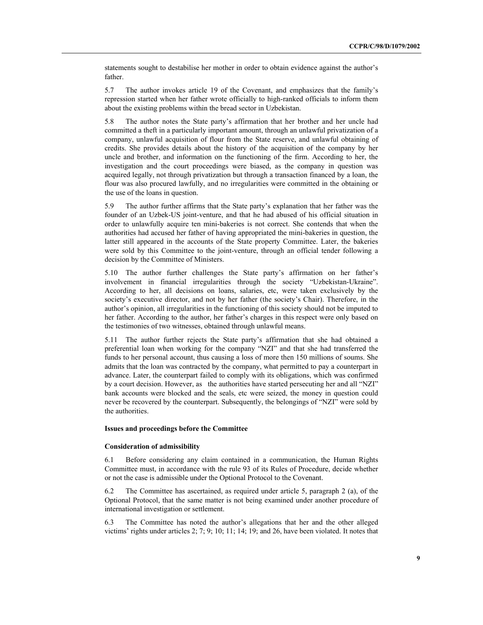statements sought to destabilise her mother in order to obtain evidence against the author's father.

5.7 The author invokes article 19 of the Covenant, and emphasizes that the family's repression started when her father wrote officially to high-ranked officials to inform them about the existing problems within the bread sector in Uzbekistan.

5.8 The author notes the State party's affirmation that her brother and her uncle had committed a theft in a particularly important amount, through an unlawful privatization of a company, unlawful acquisition of flour from the State reserve, and unlawful obtaining of credits. She provides details about the history of the acquisition of the company by her uncle and brother, and information on the functioning of the firm. According to her, the investigation and the court proceedings were biased, as the company in question was acquired legally, not through privatization but through a transaction financed by a loan, the flour was also procured lawfully, and no irregularities were committed in the obtaining or the use of the loans in question.

5.9 The author further affirms that the State party's explanation that her father was the founder of an Uzbek-US joint-venture, and that he had abused of his official situation in order to unlawfully acquire ten mini-bakeries is not correct. She contends that when the authorities had accused her father of having appropriated the mini-bakeries in question, the latter still appeared in the accounts of the State property Committee. Later, the bakeries were sold by this Committee to the joint-venture, through an official tender following a decision by the Committee of Ministers.

5.10 The author further challenges the State party's affirmation on her father's involvement in financial irregularities through the society "Uzbekistan-Ukraine". According to her, all decisions on loans, salaries, etc, were taken exclusively by the society's executive director, and not by her father (the society's Chair). Therefore, in the author's opinion, all irregularities in the functioning of this society should not be imputed to her father. According to the author, her father's charges in this respect were only based on the testimonies of two witnesses, obtained through unlawful means.

5.11 The author further rejects the State party's affirmation that she had obtained a preferential loan when working for the company "NZI" and that she had transferred the funds to her personal account, thus causing a loss of more then 150 millions of soums. She admits that the loan was contracted by the company, what permitted to pay a counterpart in advance. Later, the counterpart failed to comply with its obligations, which was confirmed by a court decision. However, as the authorities have started persecuting her and all "NZI" bank accounts were blocked and the seals, etc were seized, the money in question could never be recovered by the counterpart. Subsequently, the belongings of "NZI" were sold by the authorities.

# **Issues and proceedings before the Committee**

### **Consideration of admissibility**

6.1 Before considering any claim contained in a communication, the Human Rights Committee must, in accordance with the rule 93 of its Rules of Procedure, decide whether or not the case is admissible under the Optional Protocol to the Covenant.

6.2 The Committee has ascertained, as required under article 5, paragraph 2 (a), of the Optional Protocol, that the same matter is not being examined under another procedure of international investigation or settlement.

6.3 The Committee has noted the author's allegations that her and the other alleged victims' rights under articles 2; 7; 9; 10; 11; 14; 19; and 26, have been violated. It notes that